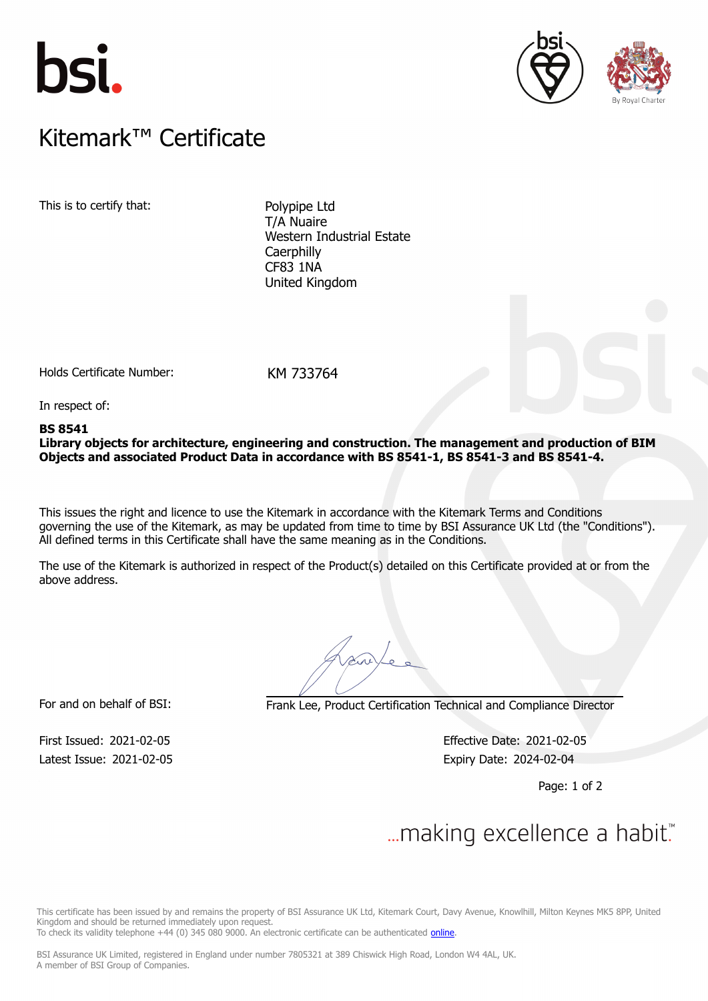





## $K$ itemark $W$  Certificate Kitemark™ Certificate

This is to certify that: Polypipe Ltd

T/A Nuaire Western Industrial Estate **Caerphilly** CF83 1NA United Kingdom

Holds Certificate Number: KM 733764

In respect of:

## **BS 8541**

**Library objects for architecture, engineering and construction. The management and production of BIM Objects and associated Product Data in accordance with BS 8541-1, BS 8541-3 and BS 8541-4.**

This issues the right and licence to use the Kitemark in accordance with the Kitemark Terms and Conditions governing the use of the Kitemark, as may be updated from time to time by BSI Assurance UK Ltd (the "Conditions"). All defined terms in this Certificate shall have the same meaning as in the Conditions.

The use of the Kitemark is authorized in respect of the Product(s) detailed on this Certificate provided at or from the above address.

For and on behalf of BSI: Frank Lee, Product Certification Technical and Compliance Director

Latest Issue: 2021-02-05 Expiry Date: 2024-02-04

First Issued: 2021-02-05 Effective Date: 2021-02-05

Page: 1 of 2

## $\mathcal{L}$

This certificate has been issued by and remains the property of BSI Assurance UK Ltd, Kitemark Court, Davy Avenue, Knowlhill, Milton Keynes MK5 8PP, United Kingdom and should be returned immediately upon request.

To check its validity telephone +44 (0) 345 080 9000. An electronic certificate can be authenticated *[online](https://pgplus.bsigroup.com/CertificateValidation/CertificateValidator.aspx?CertificateNumber=KM+733764&ReIssueDate=05%2f02%2f2021&Template=uk)*.

BSI Assurance UK Limited, registered in England under number 7805321 at 389 Chiswick High Road, London W4 4AL, UK. A member of BSI Group of Companies.